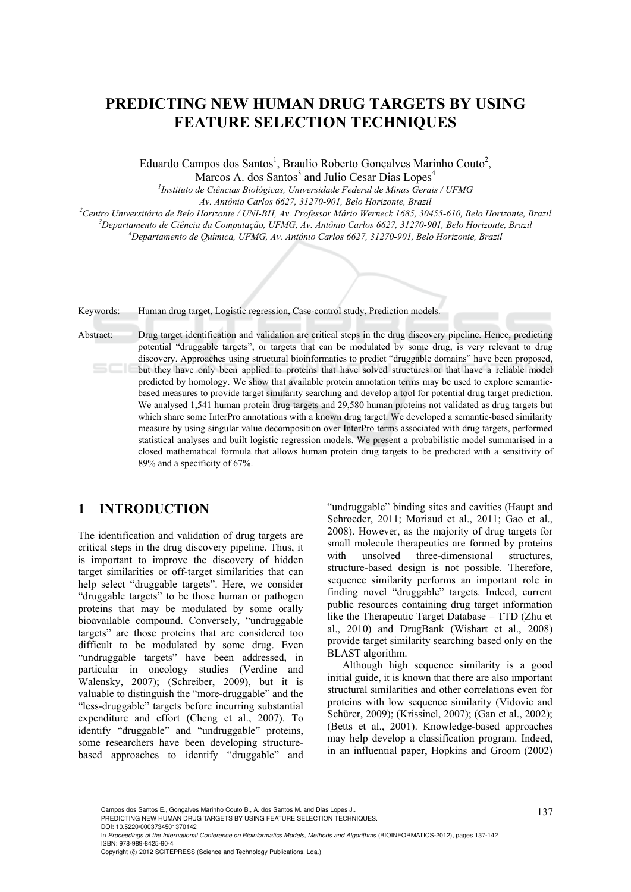### **PREDICTING NEW HUMAN DRUG TARGETS BY USING FEATURE SELECTION TECHNIQUES**

Eduardo Campos dos Santos<sup>1</sup>, Braulio Roberto Gonçalves Marinho Couto<sup>2</sup>,

Marcos A. dos Santos<sup>3</sup> and Julio Cesar Dias Lopes<sup>4</sup>

*1 Instituto de Ciências Biológicas, Universidade Federal de Minas Gerais / UFMG Av. Antônio Carlos 6627, 31270-901, Belo Horizonte, Brazil 2*

<sup>2</sup> Centro Universitário de Belo Horizonte / UNI-BH, Av. Professor Mário Werneck 1685, 30455-610, Belo Horizonte, Brazil

*Departamento de Ciência da Computação, UFMG, Av. Antônio Carlos 6627, 31270-901, Belo Horizonte, Brazil 4*

*Departamento de Química, UFMG, Av. Antônio Carlos 6627, 31270-901, Belo Horizonte, Brazil* 

Keywords: Human drug target, Logistic regression, Case-control study, Prediction models.

Abstract: Drug target identification and validation are critical steps in the drug discovery pipeline. Hence, predicting potential "druggable targets", or targets that can be modulated by some drug, is very relevant to drug discovery. Approaches using structural bioinformatics to predict "druggable domains" have been proposed, but they have only been applied to proteins that have solved structures or that have a reliable model predicted by homology. We show that available protein annotation terms may be used to explore semanticbased measures to provide target similarity searching and develop a tool for potential drug target prediction. We analysed 1,541 human protein drug targets and 29,580 human proteins not validated as drug targets but which share some InterPro annotations with a known drug target. We developed a semantic-based similarity measure by using singular value decomposition over InterPro terms associated with drug targets, performed statistical analyses and built logistic regression models. We present a probabilistic model summarised in a closed mathematical formula that allows human protein drug targets to be predicted with a sensitivity of 89% and a specificity of 67%.

### **1 INTRODUCTION**

The identification and validation of drug targets are critical steps in the drug discovery pipeline. Thus, it is important to improve the discovery of hidden target similarities or off-target similarities that can help select "druggable targets". Here, we consider "druggable targets" to be those human or pathogen proteins that may be modulated by some orally bioavailable compound. Conversely, "undruggable targets" are those proteins that are considered too difficult to be modulated by some drug. Even "undruggable targets" have been addressed, in particular in oncology studies (Verdine and Walensky, 2007); (Schreiber, 2009), but it is valuable to distinguish the "more-druggable" and the "less-druggable" targets before incurring substantial expenditure and effort (Cheng et al., 2007). To identify "druggable" and "undruggable" proteins, some researchers have been developing structurebased approaches to identify "druggable" and

"undruggable" binding sites and cavities (Haupt and Schroeder, 2011; Moriaud et al., 2011; Gao et al., 2008). However, as the majority of drug targets for small molecule therapeutics are formed by proteins with unsolved three-dimensional structures, structure-based design is not possible. Therefore, sequence similarity performs an important role in finding novel "druggable" targets. Indeed, current public resources containing drug target information like the Therapeutic Target Database – TTD (Zhu et al., 2010) and DrugBank (Wishart et al., 2008) provide target similarity searching based only on the BLAST algorithm.

Although high sequence similarity is a good initial guide, it is known that there are also important structural similarities and other correlations even for proteins with low sequence similarity (Vidovic and Schürer, 2009); (Krissinel, 2007); (Gan et al., 2002); (Betts et al., 2001). Knowledge-based approaches may help develop a classification program. Indeed, in an influential paper, Hopkins and Groom (2002)

Campos dos Santos E., Gonçalves Marinho Couto B., A. dos Santos M. and Dias Lopes J..<br>PREDICTING NEW HUMAN DRUG TARGETS BY USING FEATURE SELECTION TECHNIQUES.

DOI: 10.5220/0003734501370142

In Proceedings of the International Conference on Bioinformatics Models, Methods and Algorithms (BIOINFORMATICS-2012), pages 137-142 ISBN: 978-989-8425-90-4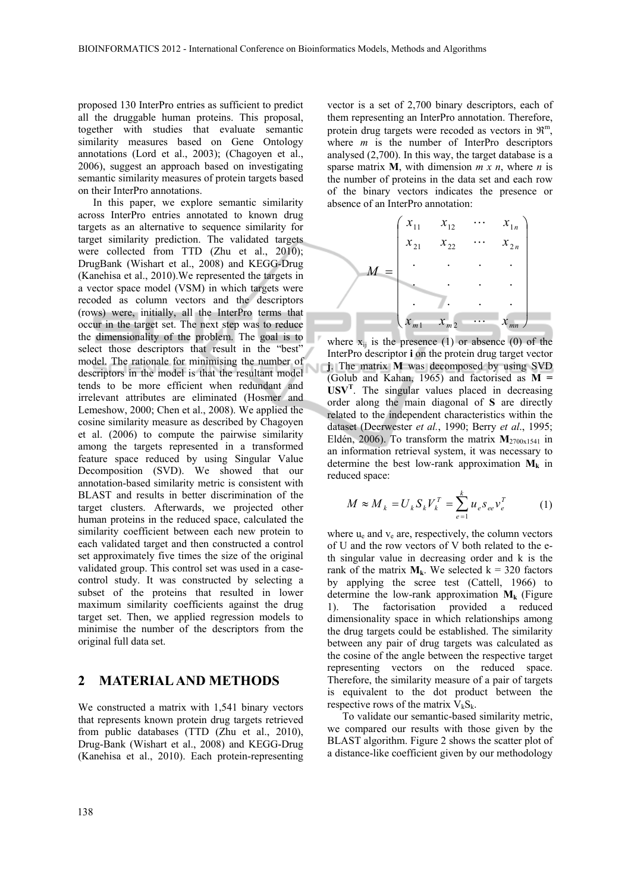proposed 130 InterPro entries as sufficient to predict all the druggable human proteins. This proposal, together with studies that evaluate semantic similarity measures based on Gene Ontology annotations (Lord et al., 2003); (Chagoyen et al., 2006), suggest an approach based on investigating semantic similarity measures of protein targets based on their InterPro annotations.

In this paper, we explore semantic similarity across InterPro entries annotated to known drug targets as an alternative to sequence similarity for target similarity prediction. The validated targets were collected from TTD (Zhu et al., 2010); DrugBank (Wishart et al., 2008) and KEGG-Drug (Kanehisa et al., 2010).We represented the targets in a vector space model (VSM) in which targets were recoded as column vectors and the descriptors (rows) were, initially, all the InterPro terms that occur in the target set. The next step was to reduce the dimensionality of the problem. The goal is to select those descriptors that result in the "best" model. The rationale for minimising the number of descriptors in the model is that the resultant model tends to be more efficient when redundant and irrelevant attributes are eliminated (Hosmer and Lemeshow, 2000; Chen et al., 2008). We applied the cosine similarity measure as described by Chagoyen et al. (2006) to compute the pairwise similarity among the targets represented in a transformed feature space reduced by using Singular Value Decomposition (SVD). We showed that our annotation-based similarity metric is consistent with BLAST and results in better discrimination of the target clusters. Afterwards, we projected other human proteins in the reduced space, calculated the similarity coefficient between each new protein to each validated target and then constructed a control set approximately five times the size of the original validated group. This control set was used in a casecontrol study. It was constructed by selecting a subset of the proteins that resulted in lower maximum similarity coefficients against the drug target set. Then, we applied regression models to minimise the number of the descriptors from the original full data set.

#### **2 MATERIAL AND METHODS**

We constructed a matrix with 1,541 binary vectors that represents known protein drug targets retrieved from public databases (TTD (Zhu et al., 2010), Drug-Bank (Wishart et al., 2008) and KEGG-Drug (Kanehisa et al., 2010). Each protein-representing vector is a set of 2,700 binary descriptors, each of them representing an InterPro annotation. Therefore, protein drug targets were recoded as vectors in  $\mathbb{R}^m$ , where *m* is the number of InterPro descriptors analysed (2,700). In this way, the target database is a sparse matrix **M**, with dimension  $\overline{m} \times \overline{n}$ , where  $\overline{n}$  is the number of proteins in the data set and each row of the binary vectors indicates the presence or absence of an InterPro annotation:



where  $x_{ii}$  is the presence (1) or absence (0) of the InterPro descriptor **i** on the protein drug target vector **j**. The matrix **M** was decomposed by using SVD (Golub and Kahan, 1965) and factorised as **M = USV<sup>T</sup>** . The singular values placed in decreasing order along the main diagonal of **S** are directly related to the independent characteristics within the dataset (Deerwester *et al.*, 1990; Berry *et al*., 1995; Eldén, 2006). To transform the matrix  $M_{2700x1541}$  in an information retrieval system, it was necessary to determine the best low-rank approximation  $M_k$  in reduced space:

$$
M \approx M_{k} = U_{k} S_{k} V_{k}^{T} = \sum_{e=1}^{k} u_{e} s_{ee} v_{e}^{T}
$$
 (1)

where  $u_e$  and  $v_e$  are, respectively, the column vectors of U and the row vectors of V both related to the eth singular value in decreasing order and k is the rank of the matrix  $M_k$ . We selected  $k = 320$  factors by applying the scree test (Cattell, 1966) to determine the low-rank approximation  $M_k$  (Figure 1). The factorisation provided a reduced dimensionality space in which relationships among the drug targets could be established. The similarity between any pair of drug targets was calculated as the cosine of the angle between the respective target representing vectors on the reduced space. Therefore, the similarity measure of a pair of targets is equivalent to the dot product between the respective rows of the matrix  $V_kS_k$ .

To validate our semantic-based similarity metric, we compared our results with those given by the BLAST algorithm. Figure 2 shows the scatter plot of a distance-like coefficient given by our methodology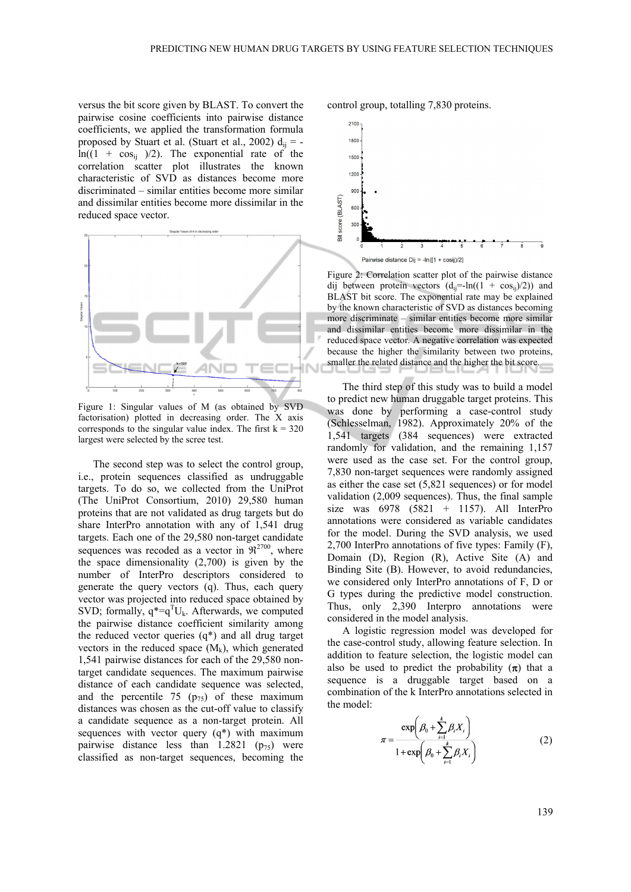versus the bit score given by BLAST. To convert the pairwise cosine coefficients into pairwise distance coefficients, we applied the transformation formula proposed by Stuart et al. (Stuart et al., 2002)  $d_{ii} =$  $ln((1 + cos_{ij}))/2)$ . The exponential rate of the correlation scatter plot illustrates the known characteristic of SVD as distances become more discriminated – similar entities become more similar and dissimilar entities become more dissimilar in the reduced space vector.



Figure 1: Singular values of M (as obtained by SVD factorisation) plotted in decreasing order. The X axis corresponds to the singular value index. The first  $k = 320$ largest were selected by the scree test.

The second step was to select the control group, i.e., protein sequences classified as undruggable targets. To do so, we collected from the UniProt (The UniProt Consortium, 2010) 29,580 human proteins that are not validated as drug targets but do share InterPro annotation with any of 1,541 drug targets. Each one of the 29,580 non-target candidate sequences was recoded as a vector in  $\mathfrak{R}^{2700}$ , where the space dimensionality (2,700) is given by the number of InterPro descriptors considered to generate the query vectors (q). Thus, each query vector was projected into reduced space obtained by SVD; formally,  $q^* = q^T U_k$ . Afterwards, we computed the pairwise distance coefficient similarity among the reduced vector queries  $(q^*)$  and all drug target vectors in the reduced space  $(M_k)$ , which generated 1,541 pairwise distances for each of the 29,580 nontarget candidate sequences. The maximum pairwise distance of each candidate sequence was selected, and the percentile 75  $(p_{75})$  of these maximum distances was chosen as the cut-off value to classify a candidate sequence as a non-target protein. All sequences with vector query  $(q^*)$  with maximum pairwise distance less than  $1.2821$  ( $p_{75}$ ) were classified as non-target sequences, becoming the

control group, totalling 7,830 proteins.



Figure 2: Correlation scatter plot of the pairwise distance dij between protein vectors  $(d_{ii}=-ln((1 + cos_{ii})/2))$  and BLAST bit score. The exponential rate may be explained by the known characteristic of SVD as distances becoming more discriminate – similar entities become more similar and dissimilar entities become more dissimilar in the reduced space vector. A negative correlation was expected because the higher the similarity between two proteins, smaller the related distance and the higher the bit score.

The third step of this study was to build a model to predict new human druggable target proteins. This was done by performing a case-control study (Schlesselman, 1982). Approximately 20% of the 1,541 targets (384 sequences) were extracted randomly for validation, and the remaining 1,157 were used as the case set. For the control group, 7,830 non-target sequences were randomly assigned as either the case set (5,821 sequences) or for model validation (2,009 sequences). Thus, the final sample size was  $6978$   $(5821 + 1157)$ . All InterPro annotations were considered as variable candidates for the model. During the SVD analysis, we used 2,700 InterPro annotations of five types: Family (F), Domain (D), Region (R), Active Site (A) and Binding Site (B). However, to avoid redundancies, we considered only InterPro annotations of F, D or G types during the predictive model construction. Thus, only 2,390 Interpro annotations were considered in the model analysis.

A logistic regression model was developed for the case-control study, allowing feature selection. In addition to feature selection, the logistic model can also be used to predict the probability  $(\pi)$  that a sequence is a druggable target based on a combination of the k InterPro annotations selected in the model:

$$
\pi = \frac{\exp\left(\beta_0 + \sum_{i=1}^k \beta_i X_i\right)}{1 + \exp\left(\beta_0 + \sum_{i=1}^k \beta_i X_i\right)}
$$
(2)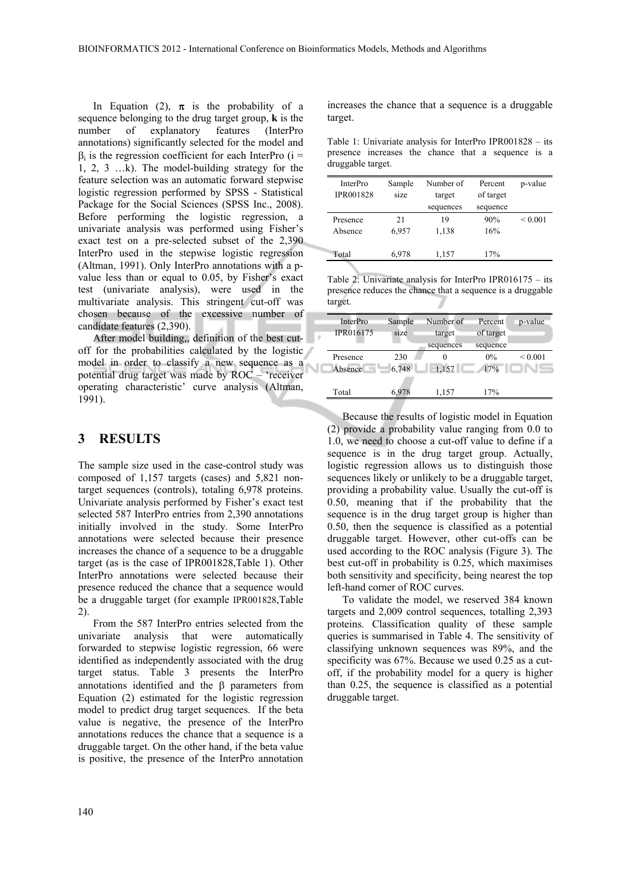In Equation (2),  $\pi$  is the probability of a sequence belonging to the drug target group, **k** is the number of explanatory features (InterPro annotations) significantly selected for the model and  $\beta_i$  is the regression coefficient for each InterPro (i = 1, 2, 3 …k). The model-building strategy for the feature selection was an automatic forward stepwise logistic regression performed by SPSS - Statistical Package for the Social Sciences (SPSS Inc., 2008). Before performing the logistic regression, a univariate analysis was performed using Fisher's exact test on a pre-selected subset of the 2,390 InterPro used in the stepwise logistic regression (Altman, 1991). Only InterPro annotations with a pvalue less than or equal to 0.05, by Fisher's exact test (univariate analysis), were used in the multivariate analysis. This stringent cut-off was chosen because of the excessive number of candidate features (2,390).

After model building,, definition of the best cutoff for the probabilities calculated by the logistic model in order to classify a new sequence as a potential drug target was made by ROC – 'receiver operating characteristic' curve analysis (Altman, 1991).

### **3 RESULTS**

The sample size used in the case-control study was composed of 1,157 targets (cases) and 5,821 nontarget sequences (controls), totaling 6,978 proteins. Univariate analysis performed by Fisher's exact test selected 587 InterPro entries from 2,390 annotations initially involved in the study. Some InterPro annotations were selected because their presence increases the chance of a sequence to be a druggable target (as is the case of IPR001828,Table 1). Other InterPro annotations were selected because their presence reduced the chance that a sequence would be a druggable target (for example IPR001828,Table 2).

From the 587 InterPro entries selected from the univariate analysis that were automatically forwarded to stepwise logistic regression, 66 were identified as independently associated with the drug target status. Table 3 presents the InterPro annotations identified and the  $\beta$  parameters from Equation (2) estimated for the logistic regression model to predict drug target sequences. If the beta value is negative, the presence of the InterPro annotations reduces the chance that a sequence is a druggable target. On the other hand, if the beta value is positive, the presence of the InterPro annotation

increases the chance that a sequence is a druggable target.

Table 1: Univariate analysis for InterPro IPR001828 – its presence increases the chance that a sequence is a druggable target.

| <b>InterPro</b>  | Sample | Number of | Percent   | p-value      |
|------------------|--------|-----------|-----------|--------------|
| <b>IPR001828</b> | size   | target    | of target |              |
|                  |        | sequences | sequence  |              |
| Presence         | 21     | 19        | 90%       | ${}_{0.001}$ |
| Absence          | 6,957  | 1,138     | 16%       |              |
| Total            | 6,978  | 1,157     | 17%       |              |
|                  |        |           |           |              |

Table 2: Univariate analysis for InterPro IPR016175 – its presence reduces the chance that a sequence is a druggable target.

| <b>InterPro</b>  | Sample | Number of | Percent   | p-value      |
|------------------|--------|-----------|-----------|--------------|
| <b>IPR016175</b> | size   | target    | of target |              |
|                  |        | sequences | sequence  |              |
| Presence         | 230    | 0         | $0\%$     | ${}_{0.001}$ |
| Absence          | 6,748  | 1,157     | 17%       |              |
|                  |        |           |           |              |
| Total            | 6.978  | 1,157     | 17%       |              |

Because the results of logistic model in Equation (2) provide a probability value ranging from 0.0 to 1.0, we need to choose a cut-off value to define if a sequence is in the drug target group. Actually, logistic regression allows us to distinguish those sequences likely or unlikely to be a druggable target, providing a probability value. Usually the cut-off is 0.50, meaning that if the probability that the sequence is in the drug target group is higher than 0.50, then the sequence is classified as a potential druggable target. However, other cut-offs can be used according to the ROC analysis (Figure 3). The best cut-off in probability is 0.25, which maximises both sensitivity and specificity, being nearest the top left-hand corner of ROC curves.

To validate the model, we reserved 384 known targets and 2,009 control sequences, totalling 2,393 proteins. Classification quality of these sample queries is summarised in Table 4. The sensitivity of classifying unknown sequences was 89%, and the specificity was 67%. Because we used 0.25 as a cutoff, if the probability model for a query is higher than 0.25, the sequence is classified as a potential druggable target.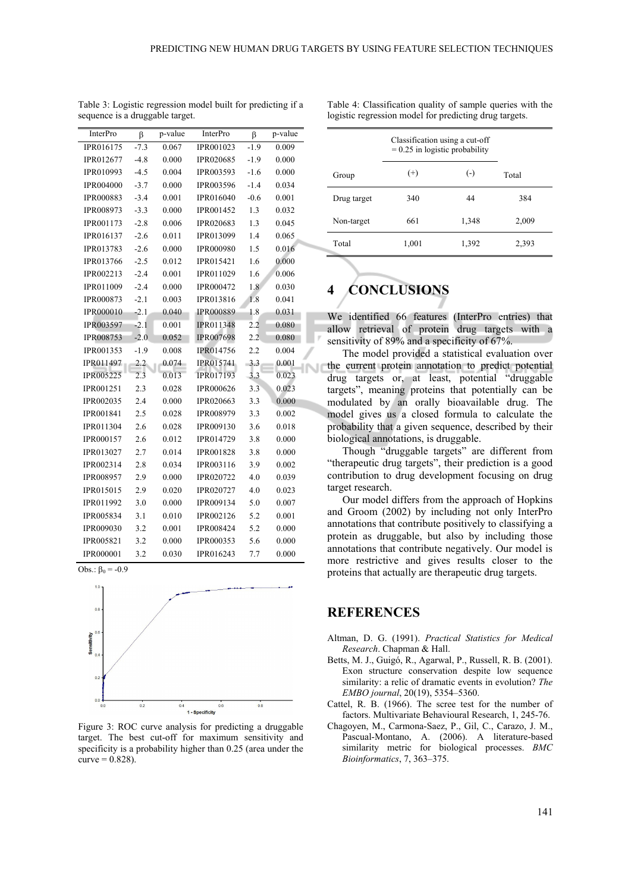| InterPro         | β      | p-value | <b>InterPro</b>  | β      | p-value |
|------------------|--------|---------|------------------|--------|---------|
| IPR016175        | $-7.3$ | 0.067   | IPR001023        | $-1.9$ | 0.009   |
| IPR012677        | $-4.8$ | 0.000   | IPR020685        | $-1.9$ | 0.000   |
| IPR010993        | $-4.5$ | 0.004   | IPR003593        | $-1.6$ | 0.000   |
| <b>IPR004000</b> | $-3.7$ | 0.000   | IPR003596        | $-1.4$ | 0.034   |
| <b>IPR000883</b> | $-3.4$ | 0.001   | <b>IPR016040</b> | $-0.6$ | 0.001   |
| IPR008973        | $-3.3$ | 0.000   | IPR001452        | 1.3    | 0.032   |
| IPR001173        | $-2.8$ | 0.006   | <b>IPR020683</b> | 1.3    | 0.045   |
| IPR016137        | $-2.6$ | 0.011   | IPR013099        | 1.4    | 0.065   |
| IPR013783        | $-2.6$ | 0.000   | <b>IPR000980</b> | 1.5    | 0.016   |
| IPR013766        | $-2.5$ | 0.012   | IPR015421        | 1.6    | 0.000   |
| IPR002213        | $-2.4$ | 0.001   | IPR011029        | 1.6    | 0.006   |
| IPR011009        | $-2.4$ | 0.000   | IPR000472        | 1.8    | 0.030   |
| IPR000873        | $-2.1$ | 0.003   | IPR013816        | 1.8    | 0.041   |
| <b>IPR000010</b> | $-2.1$ | 0.040   | <b>IPR000889</b> | 1.8    | 0.031   |
| <b>IPR003597</b> | $-2.1$ | 0.001   | <b>IPR011348</b> | 2.2    | 0.080   |
| <b>IPR008753</b> | $-2.0$ | 0.052   | <b>IPR007698</b> | 2.2    | 0.080   |
| IPR001353        | $-1.9$ | 0.008   | <b>IPR014756</b> | 2.2    | 0.004   |
| IPR011497        | 2.2    | 0.074   | IPR015741        | 3.3    | 0.001   |
| <b>IPR005225</b> | 2.3    | 0.013   | IPR017193        | 3.3    | 0.023   |
| IPR001251        | 2.3    | 0.028   | <b>IPR000626</b> | 3.3    | 0.023   |
| IPR002035        | 2.4    | 0.000   | <b>IPR020663</b> | 3.3    | 0.000   |
| IPR001841        | 2.5    | 0.028   | IPR008979        | 3.3    | 0.002   |
| IPR011304        | 2.6    | 0.028   | IPR009130        | 3.6    | 0.018   |
| IPR000157        | 2.6    | 0.012   | IPR014729        | 3.8    | 0.000   |
| IPR013027        | 2.7    | 0.014   | <b>IPR001828</b> | 3.8    | 0.000   |
| IPR002314        | 2.8    | 0.034   | IPR003116        | 3.9    | 0.002   |
| <b>IPR008957</b> | 2.9    | 0.000   | IPR020722        | 4.0    | 0.039   |
| IPR015015        | 2.9    | 0.020   | IPR020727        | 4.0    | 0.023   |
| IPR011992        | 3.0    | 0.000   | IPR009134        | 5.0    | 0.007   |
| IPR005834        | 3.1    | 0.010   | IPR002126        | 5.2    | 0.001   |
| <b>IPR009030</b> | 3.2    | 0.001   | <b>IPR008424</b> | 5.2    | 0.000   |
| IPR005821        | 3.2    | 0.000   | IPR000353        | 5.6    | 0.000   |
| <b>IPR000001</b> | 3.2    | 0.030   | <b>IPR016243</b> | 7.7    | 0.000   |

Table 3: Logistic regression model built for predicting if a sequence is a druggable target.

Group Classification using a cut-off  $= 0.25$  in logistic probability  $(+)$   $(-)$   $Total$ Drug target 340 44 384 Non-target 661 1,348 2,009 Total 1,001 1,392 2,393

Table 4: Classification quality of sample queries with the logistic regression model for predicting drug targets.

# **4 CONCLUSIONS**

We identified 66 features (InterPro entries) that allow retrieval of protein drug targets with a sensitivity of 89% and a specificity of 67%.

The model provided a statistical evaluation over the current protein annotation to predict potential drug targets or, at least, potential "druggable targets", meaning proteins that potentially can be modulated by an orally bioavailable drug. The model gives us a closed formula to calculate the probability that a given sequence, described by their biological annotations, is druggable.

Though "druggable targets" are different from "therapeutic drug targets", their prediction is a good contribution to drug development focusing on drug target research.

Our model differs from the approach of Hopkins and Groom (2002) by including not only InterPro annotations that contribute positively to classifying a protein as druggable, but also by including those annotations that contribute negatively. Our model is more restrictive and gives results closer to the proteins that actually are therapeutic drug targets.

# **REFERENCES**

- Altman, D. G. (1991). *Practical Statistics for Medical Research*. Chapman & Hall.
- Betts, M. J., Guigó, R., Agarwal, P., Russell, R. B. (2001). Exon structure conservation despite low sequence similarity: a relic of dramatic events in evolution? *The EMBO journal*, 20(19), 5354–5360.
- Cattel, R. B. (1966). The scree test for the number of factors. Multivariate Behavioural Research, 1, 245-76.
- Chagoyen, M., Carmona-Saez, P., Gil, C., Carazo, J. M., Pascual-Montano, A. (2006). A literature-based similarity metric for biological processes. *BMC Bioinformatics*, 7, 363–375.

Figure 3: ROC curve analysis for predicting a druggable target. The best cut-off for maximum sensitivity and specificity is a probability higher than 0.25 (area under the  $curve = 0.828$ ).

1 - Specificity

Obs.:  $β_0 = -0.9$ 

 $00$ 

 $0<sup>2</sup>$